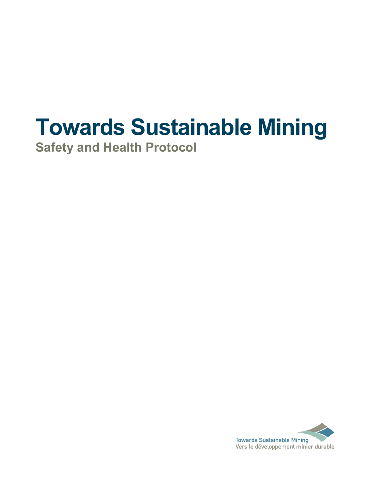# **Towards Sustainable Mining**

**Safety and Health Protocol**

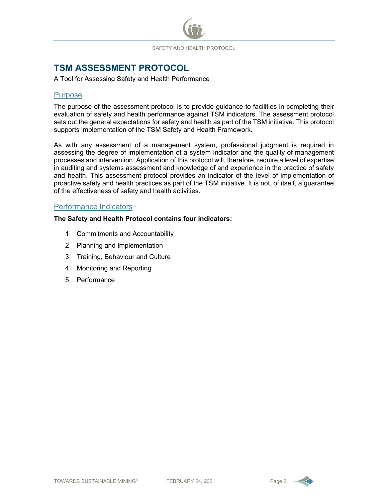# **TSM ASSESSMENT PROTOCOL**<br>A Tool for Assessing Safety and Health Performance

#### **Purpose**

The purpose of the assessment protocol is to provide guidance to facilities in completing their evaluation of safety and health performance against TSM indicators. The assessment protocol sets out the general expectations for safety and health as part of the TSM initiative. This protocol supports implementation of the TSM Safety and Health Framework.

As with any assessment of a management system, professional judgment is required in assessing the degree of implementation of a system indicator and the quality of management processes and intervention. Application of this protocol will, therefore, require a level of expertise in auditing and systems assessment and knowledge of and experience in the practice of safety and health. This assessment protocol provides an indicator of the level of implementation of proactive safety and health practices as part of the TSM initiative. It is not, of itself, a guarantee of the effectiveness of safety and health activities.

## Performance Indicators

#### **The Safety and Health Protocol contains four indicators:**

- 1. Commitments and Accountability
- 2. Planning and Implementation
- 3. Training, Behaviour and Culture
- 4. Monitoring and Reporting
- 5. Performance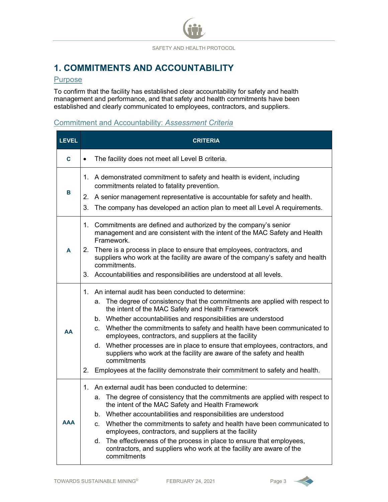# **1. COMMITMENTS AND ACCOUNTABILITY**

#### **Purpose**

To confirm that the facility has established clear accountability for safety and health management and performance, and that safety and health commitments have been established and clearly communicated to employees, contractors, and suppliers.

#### Commitment and Accountability: *Assessment Criteria*

| <b>LEVEL</b> | <b>CRITERIA</b>                                                                                                                                                                                                                                                                                                                                                                                                                                                                                                                                                                                                                                                    |  |  |  |
|--------------|--------------------------------------------------------------------------------------------------------------------------------------------------------------------------------------------------------------------------------------------------------------------------------------------------------------------------------------------------------------------------------------------------------------------------------------------------------------------------------------------------------------------------------------------------------------------------------------------------------------------------------------------------------------------|--|--|--|
| C            | The facility does not meet all Level B criteria.                                                                                                                                                                                                                                                                                                                                                                                                                                                                                                                                                                                                                   |  |  |  |
| в            | 1. A demonstrated commitment to safety and health is evident, including<br>commitments related to fatality prevention.<br>A senior management representative is accountable for safety and health.<br>2.<br>The company has developed an action plan to meet all Level A requirements.<br>3.                                                                                                                                                                                                                                                                                                                                                                       |  |  |  |
| A            | 1. Commitments are defined and authorized by the company's senior<br>management and are consistent with the intent of the MAC Safety and Health<br>Framework.<br>There is a process in place to ensure that employees, contractors, and<br>2.<br>suppliers who work at the facility are aware of the company's safety and health<br>commitments.<br>3. Accountabilities and responsibilities are understood at all levels.                                                                                                                                                                                                                                         |  |  |  |
| AA           | 1. An internal audit has been conducted to determine:<br>The degree of consistency that the commitments are applied with respect to<br>а.<br>the intent of the MAC Safety and Health Framework<br>b. Whether accountabilities and responsibilities are understood<br>c. Whether the commitments to safety and health have been communicated to<br>employees, contractors, and suppliers at the facility<br>d. Whether processes are in place to ensure that employees, contractors, and<br>suppliers who work at the facility are aware of the safety and health<br>commitments<br>2. Employees at the facility demonstrate their commitment to safety and health. |  |  |  |
| <b>AAA</b>   | 1. An external audit has been conducted to determine:<br>a. The degree of consistency that the commitments are applied with respect to<br>the intent of the MAC Safety and Health Framework<br>b. Whether accountabilities and responsibilities are understood<br>c. Whether the commitments to safety and health have been communicated to<br>employees, contractors, and suppliers at the facility<br>d. The effectiveness of the process in place to ensure that employees,<br>contractors, and suppliers who work at the facility are aware of the<br>commitments                                                                                              |  |  |  |

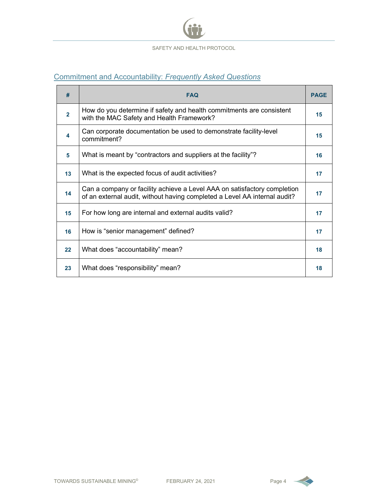

### Commitment and Accountability: *Frequently Asked Questions*

| #              | <b>FAQ</b>                                                                                                                                            |    |
|----------------|-------------------------------------------------------------------------------------------------------------------------------------------------------|----|
| $\overline{2}$ | How do you determine if safety and health commitments are consistent<br>with the MAC Safety and Health Framework?                                     |    |
| 4              | Can corporate documentation be used to demonstrate facility-level<br>commitment?                                                                      | 15 |
| 5              | What is meant by "contractors and suppliers at the facility"?                                                                                         | 16 |
| 13             | What is the expected focus of audit activities?                                                                                                       | 17 |
| 14             | Can a company or facility achieve a Level AAA on satisfactory completion<br>of an external audit, without having completed a Level AA internal audit? | 17 |
| 15             | For how long are internal and external audits valid?                                                                                                  | 17 |
| 16             | How is "senior management" defined?                                                                                                                   | 17 |
| 22             | What does "accountability" mean?                                                                                                                      | 18 |
| 23             | What does "responsibility" mean?                                                                                                                      | 18 |

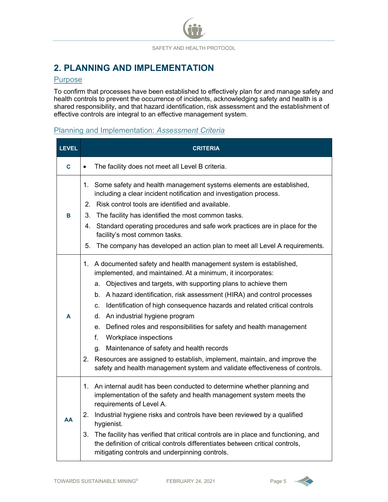# **2. PLANNING AND IMPLEMENTATION**

#### Purpose

To confirm that processes have been established to effectively plan for and manage safety and health controls to prevent the occurrence of incidents, acknowledging safety and health is a shared responsibility, and that hazard identification, risk assessment and the establishment of effective controls are integral to an effective management system.

#### Planning and Implementation: *Assessment Criteria*

| <b>LEVEL</b> | <b>CRITERIA</b>                                                                                                                                                                                                                                                                                                                                                                                                                                                                                                                                                                                                                                                                                                                             |  |  |
|--------------|---------------------------------------------------------------------------------------------------------------------------------------------------------------------------------------------------------------------------------------------------------------------------------------------------------------------------------------------------------------------------------------------------------------------------------------------------------------------------------------------------------------------------------------------------------------------------------------------------------------------------------------------------------------------------------------------------------------------------------------------|--|--|
| C            | The facility does not meet all Level B criteria.<br>$\bullet$                                                                                                                                                                                                                                                                                                                                                                                                                                                                                                                                                                                                                                                                               |  |  |
| в            | 1. Some safety and health management systems elements are established,<br>including a clear incident notification and investigation process.<br>Risk control tools are identified and available.<br>2.<br>3.<br>The facility has identified the most common tasks.<br>Standard operating procedures and safe work practices are in place for the<br>4.<br>facility's most common tasks.<br>5.<br>The company has developed an action plan to meet all Level A requirements.                                                                                                                                                                                                                                                                 |  |  |
| A            | 1. A documented safety and health management system is established,<br>implemented, and maintained. At a minimum, it incorporates:<br>Objectives and targets, with supporting plans to achieve them<br>a.<br>b. A hazard identification, risk assessment (HIRA) and control processes<br>Identification of high consequence hazards and related critical controls<br>C.<br>An industrial hygiene program<br>d.<br>e. Defined roles and responsibilities for safety and health management<br>f.<br>Workplace inspections<br>Maintenance of safety and health records<br>q.<br>Resources are assigned to establish, implement, maintain, and improve the<br>2.<br>safety and health management system and validate effectiveness of controls. |  |  |
| AA           | An internal audit has been conducted to determine whether planning and<br>1.<br>implementation of the safety and health management system meets the<br>requirements of Level A.<br>Industrial hygiene risks and controls have been reviewed by a qualified<br>2.<br>hygienist.<br>The facility has verified that critical controls are in place and functioning, and<br>3.<br>the definition of critical controls differentiates between critical controls,<br>mitigating controls and underpinning controls.                                                                                                                                                                                                                               |  |  |

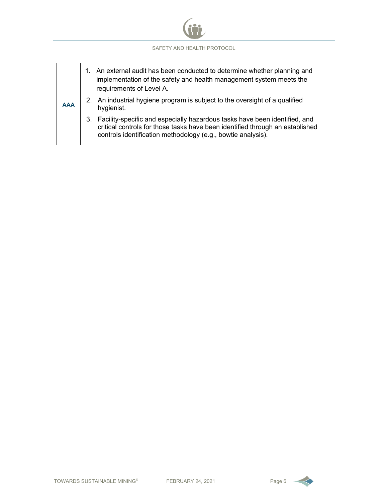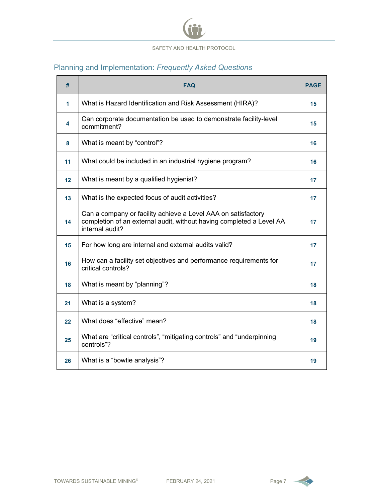

# Planning and Implementation: *Frequently Asked Questions*

| #  | <b>FAQ</b>                                                                                                                                               |    |
|----|----------------------------------------------------------------------------------------------------------------------------------------------------------|----|
| 1  | What is Hazard Identification and Risk Assessment (HIRA)?                                                                                                | 15 |
| 4  | Can corporate documentation be used to demonstrate facility-level<br>commitment?                                                                         | 15 |
| 8  | What is meant by "control"?                                                                                                                              | 16 |
| 11 | What could be included in an industrial hygiene program?                                                                                                 | 16 |
| 12 | What is meant by a qualified hygienist?                                                                                                                  | 17 |
| 13 | What is the expected focus of audit activities?                                                                                                          | 17 |
| 14 | Can a company or facility achieve a Level AAA on satisfactory<br>completion of an external audit, without having completed a Level AA<br>internal audit? | 17 |
| 15 | For how long are internal and external audits valid?                                                                                                     | 17 |
| 16 | How can a facility set objectives and performance requirements for<br>critical controls?                                                                 | 17 |
| 18 | What is meant by "planning"?                                                                                                                             | 18 |
| 21 | What is a system?                                                                                                                                        | 18 |
| 22 | What does "effective" mean?                                                                                                                              | 18 |
| 25 | What are "critical controls", "mitigating controls" and "underpinning<br>controls"?                                                                      | 19 |
| 26 | What is a "bowtie analysis"?                                                                                                                             | 19 |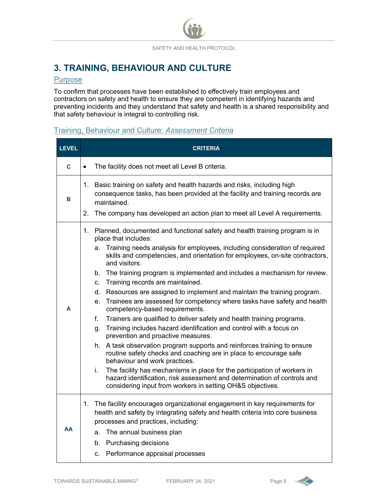# **3. TRAINING, BEHAVIOUR AND CULTURE**

#### **Purpose**

To confirm that processes have been established to effectively train employees and contractors on safety and health to ensure they are competent in identifying hazards and preventing incidents and they understand that safety and health is a shared responsibility and that safety behaviour is integral to controlling risk.

#### Training, Behaviour and Culture: *Assessment Criteria*

| <b>LEVEL</b> | <b>CRITERIA</b>                                                                                                                                                                                                                                                                                                                                                                                                                                                                                                                                                                                                                                                                                                                                                                                                                                                                                                                                                                                                                                                                                |  |  |  |  |
|--------------|------------------------------------------------------------------------------------------------------------------------------------------------------------------------------------------------------------------------------------------------------------------------------------------------------------------------------------------------------------------------------------------------------------------------------------------------------------------------------------------------------------------------------------------------------------------------------------------------------------------------------------------------------------------------------------------------------------------------------------------------------------------------------------------------------------------------------------------------------------------------------------------------------------------------------------------------------------------------------------------------------------------------------------------------------------------------------------------------|--|--|--|--|
| C            | The facility does not meet all Level B criteria.<br>$\bullet$                                                                                                                                                                                                                                                                                                                                                                                                                                                                                                                                                                                                                                                                                                                                                                                                                                                                                                                                                                                                                                  |  |  |  |  |
| в            | Basic training on safety and health hazards and risks, including high<br>1.<br>consequence tasks, has been provided at the facility and training records are<br>maintained.<br>2.<br>The company has developed an action plan to meet all Level A requirements.                                                                                                                                                                                                                                                                                                                                                                                                                                                                                                                                                                                                                                                                                                                                                                                                                                |  |  |  |  |
| A            | Planned, documented and functional safety and health training program is in<br>1.<br>place that includes:<br>a. Training needs analysis for employees, including consideration of required<br>skills and competencies, and orientation for employees, on-site contractors,<br>and visitors.<br>b. The training program is implemented and includes a mechanism for review.<br>Training records are maintained.<br>C.<br>Resources are assigned to implement and maintain the training program.<br>d.<br>Trainees are assessed for competency where tasks have safety and health<br>е.<br>competency-based requirements.<br>f.<br>Trainers are qualified to deliver safety and health training programs.<br>Training includes hazard identification and control with a focus on<br>g.<br>prevention and proactive measures.<br>h. A task observation program supports and reinforces training to ensure<br>routine safety checks and coaching are in place to encourage safe<br>behaviour and work practices.<br>The facility has mechanisms in place for the participation of workers in<br>i. |  |  |  |  |
|              | hazard identification, risk assessment and determination of controls and<br>considering input from workers in setting OH&S objectives.                                                                                                                                                                                                                                                                                                                                                                                                                                                                                                                                                                                                                                                                                                                                                                                                                                                                                                                                                         |  |  |  |  |
| AA           | The facility encourages organizational engagement in key requirements for<br>1.<br>health and safety by integrating safety and health criteria into core business<br>processes and practices, including:<br>The annual business plan<br>a.<br><b>Purchasing decisions</b><br>b.<br>c. Performance appraisal processes                                                                                                                                                                                                                                                                                                                                                                                                                                                                                                                                                                                                                                                                                                                                                                          |  |  |  |  |

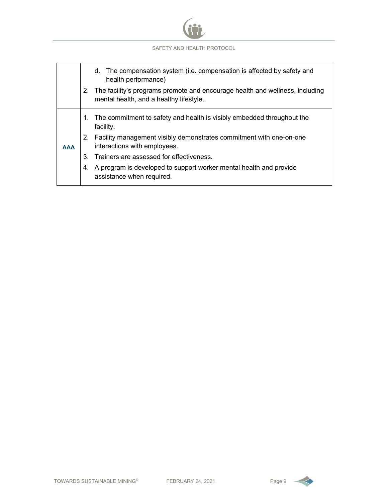

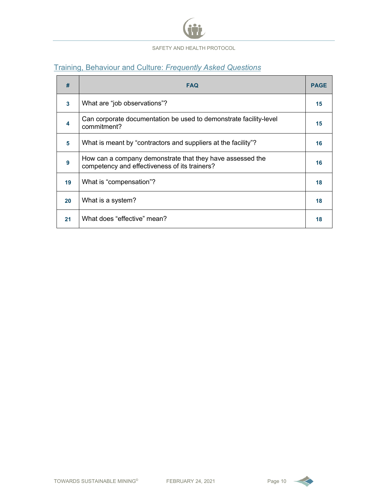

# Training, Behaviour and Culture: *Frequently Asked Questions*

| #            | <b>FAQ</b>                                                                                                 |    |
|--------------|------------------------------------------------------------------------------------------------------------|----|
| $\mathbf{3}$ | What are "job observations"?                                                                               | 15 |
| 4            | Can corporate documentation be used to demonstrate facility-level<br>commitment?                           | 15 |
| 5            | What is meant by "contractors and suppliers at the facility"?                                              | 16 |
| 9            | How can a company demonstrate that they have assessed the<br>competency and effectiveness of its trainers? | 16 |
| 19           | What is "compensation"?                                                                                    | 18 |
| 20           | What is a system?                                                                                          | 18 |
| 21           | What does "effective" mean?                                                                                | 18 |

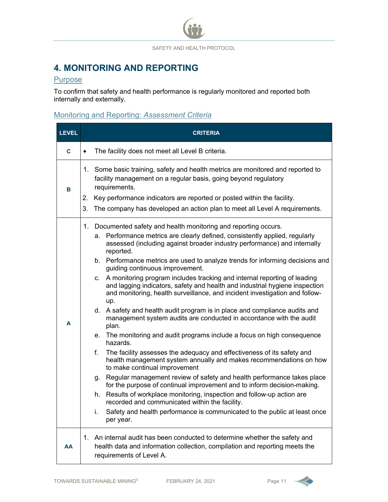# **4. MONITORING AND REPORTING**

### **Purpose**

To confirm that safety and health performance is regularly monitored and reported both internally and externally.

# Monitoring and Reporting: *Assessment Criteria*

| <b>LEVEL</b> | <b>CRITERIA</b>                                                                                                                                                                                                                                                                                                                                                                                                                                                                                                                                                                                                                                                                                                                                                                                                                                                                                                                                                                                                                                                                                                                                                                                                                                                                                                                                                                                                                                    |  |
|--------------|----------------------------------------------------------------------------------------------------------------------------------------------------------------------------------------------------------------------------------------------------------------------------------------------------------------------------------------------------------------------------------------------------------------------------------------------------------------------------------------------------------------------------------------------------------------------------------------------------------------------------------------------------------------------------------------------------------------------------------------------------------------------------------------------------------------------------------------------------------------------------------------------------------------------------------------------------------------------------------------------------------------------------------------------------------------------------------------------------------------------------------------------------------------------------------------------------------------------------------------------------------------------------------------------------------------------------------------------------------------------------------------------------------------------------------------------------|--|
| C.           | The facility does not meet all Level B criteria.<br>$\bullet$                                                                                                                                                                                                                                                                                                                                                                                                                                                                                                                                                                                                                                                                                                                                                                                                                                                                                                                                                                                                                                                                                                                                                                                                                                                                                                                                                                                      |  |
| В            | 1. Some basic training, safety and health metrics are monitored and reported to<br>facility management on a regular basis, going beyond regulatory<br>requirements.<br>Key performance indicators are reported or posted within the facility.<br>2.<br>3.<br>The company has developed an action plan to meet all Level A requirements.                                                                                                                                                                                                                                                                                                                                                                                                                                                                                                                                                                                                                                                                                                                                                                                                                                                                                                                                                                                                                                                                                                            |  |
| A            | 1. Documented safety and health monitoring and reporting occurs.<br>a. Performance metrics are clearly defined, consistently applied, regularly<br>assessed (including against broader industry performance) and internally<br>reported.<br>b. Performance metrics are used to analyze trends for informing decisions and<br>guiding continuous improvement.<br>c. A monitoring program includes tracking and internal reporting of leading<br>and lagging indicators, safety and health and industrial hygiene inspection<br>and monitoring, health surveillance, and incident investigation and follow-<br>up.<br>d. A safety and health audit program is in place and compliance audits and<br>management system audits are conducted in accordance with the audit<br>plan.<br>e. The monitoring and audit programs include a focus on high consequence<br>hazards.<br>The facility assesses the adequacy and effectiveness of its safety and<br>f.<br>health management system annually and makes recommendations on how<br>to make continual improvement<br>g. Regular management review of safety and health performance takes place<br>for the purpose of continual improvement and to inform decision-making.<br>h. Results of workplace monitoring, inspection and follow-up action are<br>recorded and communicated within the facility.<br>Safety and health performance is communicated to the public at least once<br>i.<br>per year. |  |
| AA           | An internal audit has been conducted to determine whether the safety and<br>1.<br>health data and information collection, compilation and reporting meets the<br>requirements of Level A.                                                                                                                                                                                                                                                                                                                                                                                                                                                                                                                                                                                                                                                                                                                                                                                                                                                                                                                                                                                                                                                                                                                                                                                                                                                          |  |

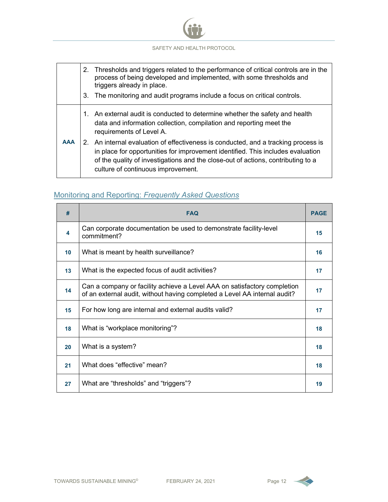

#### Monitoring and Reporting: *Frequently Asked Questions*

| #                | <b>FAQ</b>                                                                                                                                            |    |
|------------------|-------------------------------------------------------------------------------------------------------------------------------------------------------|----|
| $\blacktriangle$ | Can corporate documentation be used to demonstrate facility-level<br>commitment?                                                                      | 15 |
| 10               | What is meant by health surveillance?                                                                                                                 | 16 |
| 13               | What is the expected focus of audit activities?                                                                                                       | 17 |
| 14               | Can a company or facility achieve a Level AAA on satisfactory completion<br>of an external audit, without having completed a Level AA internal audit? | 17 |
| 15               | For how long are internal and external audits valid?                                                                                                  | 17 |
| 18               | What is "workplace monitoring"?                                                                                                                       | 18 |
| 20               | What is a system?                                                                                                                                     | 18 |
| 21               | What does "effective" mean?                                                                                                                           | 18 |
| 27               | What are "thresholds" and "triggers"?                                                                                                                 | 19 |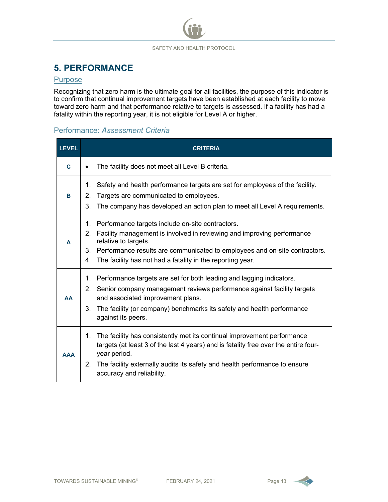# **5. PERFORMANCE**

#### **Purpose**

Recognizing that zero harm is the ultimate goal for all facilities, the purpose of this indicator is to confirm that continual improvement targets have been established at each facility to move toward zero harm and that performance relative to targets is assessed. If a facility has had a fatality within the reporting year, it is not eligible for Level A or higher.

#### Performance: *Assessment Criteria*

| <b>LEVEL</b> | <b>CRITERIA</b>                                                                                                                                                                                                                                                                                                                    |  |  |  |
|--------------|------------------------------------------------------------------------------------------------------------------------------------------------------------------------------------------------------------------------------------------------------------------------------------------------------------------------------------|--|--|--|
| C            | The facility does not meet all Level B criteria.                                                                                                                                                                                                                                                                                   |  |  |  |
| B            | Safety and health performance targets are set for employees of the facility.<br>1.<br>Targets are communicated to employees.<br>2.<br>3.<br>The company has developed an action plan to meet all Level A requirements.                                                                                                             |  |  |  |
| A            | Performance targets include on-site contractors.<br>1.<br>Facility management is involved in reviewing and improving performance<br>2 <sub>1</sub><br>relative to targets.<br>Performance results are communicated to employees and on-site contractors.<br>3.<br>The facility has not had a fatality in the reporting year.<br>4. |  |  |  |
| <b>AA</b>    | Performance targets are set for both leading and lagging indicators.<br>1.<br>Senior company management reviews performance against facility targets<br>2.<br>and associated improvement plans.<br>3.<br>The facility (or company) benchmarks its safety and health performance<br>against its peers.                              |  |  |  |
| <b>AAA</b>   | The facility has consistently met its continual improvement performance<br>1.<br>targets (at least 3 of the last 4 years) and is fatality free over the entire four-<br>year period.<br>The facility externally audits its safety and health performance to ensure<br>2 <sub>1</sub><br>accuracy and reliability.                  |  |  |  |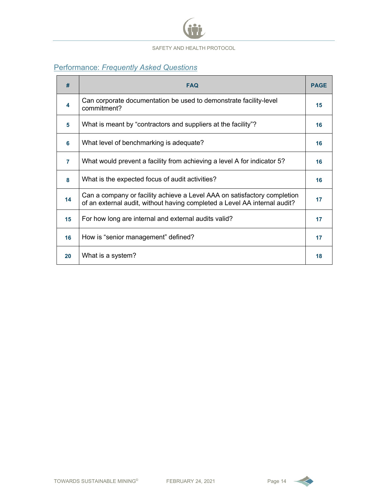

# Performance: *Frequently Asked Questions*

| #              | <b>FAQ</b>                                                                                                                                            |    |
|----------------|-------------------------------------------------------------------------------------------------------------------------------------------------------|----|
| 4              | Can corporate documentation be used to demonstrate facility-level<br>commitment?                                                                      | 15 |
| 5              | What is meant by "contractors and suppliers at the facility"?                                                                                         | 16 |
| 6              | What level of benchmarking is adequate?                                                                                                               | 16 |
| $\overline{7}$ | What would prevent a facility from achieving a level A for indicator 5?                                                                               | 16 |
| 8              | What is the expected focus of audit activities?                                                                                                       | 16 |
| 14             | Can a company or facility achieve a Level AAA on satisfactory completion<br>of an external audit, without having completed a Level AA internal audit? | 17 |
| 15             | For how long are internal and external audits valid?                                                                                                  | 17 |
| 16             | How is "senior management" defined?                                                                                                                   | 17 |
| 20             | What is a system?                                                                                                                                     | 18 |

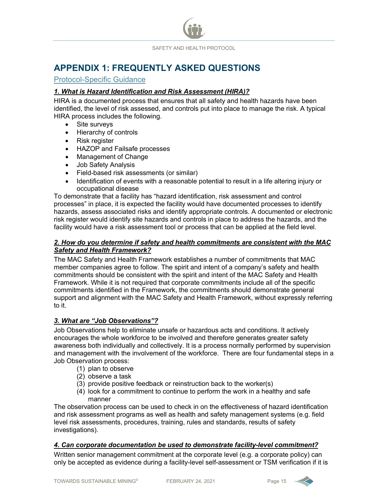

# **APPENDIX 1: FREQUENTLY ASKED QUESTIONS**

#### Protocol-Specific Guidance

#### *1. What is Hazard Identification and Risk Assessment (HIRA)?*

HIRA is a documented process that ensures that all safety and health hazards have been identified, the level of risk assessed, and controls put into place to manage the risk. A typical HIRA process includes the following.

- Site surveys
- Hierarchy of controls
- Risk register
- HAZOP and Failsafe processes
- Management of Change
- Job Safety Analysis
- Field-based risk assessments (or similar)
- Identification of events with a reasonable potential to result in a life altering injury or occupational disease

To demonstrate that a facility has "hazard identification, risk assessment and control processes" in place, it is expected the facility would have documented processes to identify hazards, assess associated risks and identify appropriate controls. A documented or electronic risk register would identify site hazards and controls in place to address the hazards, and the facility would have a risk assessment tool or process that can be applied at the field level.

#### *2. How do you determine if safety and health commitments are consistent with the MAC Safety and Health Framework?*

The MAC Safety and Health Framework establishes a number of commitments that MAC member companies agree to follow. The spirit and intent of a company's safety and health commitments should be consistent with the spirit and intent of the MAC Safety and Health Framework. While it is not required that corporate commitments include all of the specific commitments identified in the Framework, the commitments should demonstrate general support and alignment with the MAC Safety and Health Framework, without expressly referring to it.

#### *3. What are "Job Observations"?*

Job Observations help to eliminate unsafe or hazardous acts and conditions. It actively encourages the whole workforce to be involved and therefore generates greater safety awareness both individually and collectively. It is a process normally performed by supervision and management with the involvement of the workforce. There are four fundamental steps in a Job Observation process:

- (1) plan to observe
- (2) observe a task
- (3) provide positive feedback or reinstruction back to the worker(s)
- (4) look for a commitment to continue to perform the work in a healthy and safe manner

The observation process can be used to check in on the effectiveness of hazard identification and risk assessment programs as well as health and safety management systems (e.g. field level risk assessments, procedures, training, rules and standards, results of safety investigations).

#### *4. Can corporate documentation be used to demonstrate facility-level commitment?*

Written senior management commitment at the corporate level (e.g. a corporate policy) can only be accepted as evidence during a facility-level self-assessment or TSM verification if it is

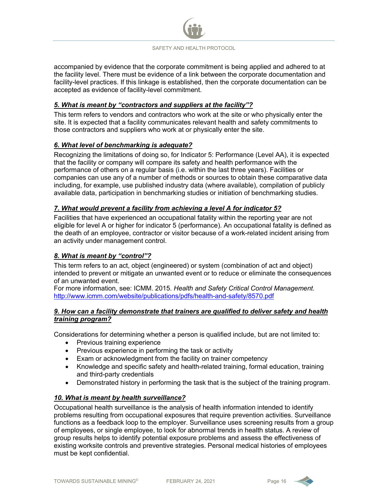

accompanied by evidence that the corporate commitment is being applied and adhered to at the facility level. There must be evidence of a link between the corporate documentation and facility-level practices. If this linkage is established, then the corporate documentation can be accepted as evidence of facility-level commitment.

#### *5. What is meant by "contractors and suppliers at the facility"?*

This term refers to vendors and contractors who work at the site or who physically enter the site. It is expected that a facility communicates relevant health and safety commitments to those contractors and suppliers who work at or physically enter the site.

#### *6. What level of benchmarking is adequate?*

Recognizing the limitations of doing so, for Indicator 5: Performance (Level AA), it is expected that the facility or company will compare its safety and health performance with the performance of others on a regular basis (i.e. within the last three years). Facilities or companies can use any of a number of methods or sources to obtain these comparative data including, for example, use published industry data (where available), compilation of publicly available data, participation in benchmarking studies or initiation of benchmarking studies.

#### *7. What would prevent a facility from achieving a level A for indicator 5?*

Facilities that have experienced an occupational fatality within the reporting year are not eligible for level A or higher for indicator 5 (performance). An occupational fatality is defined as the death of an employee, contractor or visitor because of a work-related incident arising from an activity under management control.

#### *8. What is meant by "control"?*

This term refers to an act, object (engineered) or system (combination of act and object) intended to prevent or mitigate an unwanted event or to reduce or eliminate the consequences of an unwanted event.

For more information, see: ICMM. 2015. *Health and Safety Critical Control Management*. <http://www.icmm.com/website/publications/pdfs/health-and-safety/8570.pdf>

#### *9. How can a facility demonstrate that trainers are qualified to deliver safety and health training program?*

Considerations for determining whether a person is qualified include, but are not limited to:

- Previous training experience
- Previous experience in performing the task or activity
- Exam or acknowledgment from the facility on trainer competency
- Knowledge and specific safety and health-related training, formal education, training and third-party credentials
- Demonstrated history in performing the task that is the subject of the training program.

#### *10. What is meant by health surveillance?*

Occupational health surveillance is the analysis of health information intended to identify problems resulting from occupational exposures that require prevention activities. Surveillance functions as a feedback loop to the employer. Surveillance uses screening results from a group of employees, or single employee, to look for abnormal trends in health status. A review of group results helps to identify potential exposure problems and assess the effectiveness of existing worksite controls and preventive strategies. Personal medical histories of employees must be kept confidential.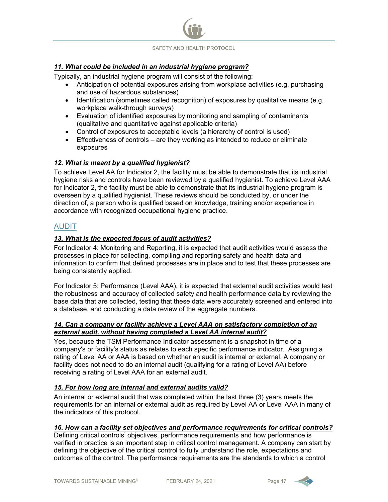

#### *11. What could be included in an industrial hygiene program?*

Typically, an industrial hygiene program will consist of the following:

- Anticipation of potential exposures arising from workplace activities (e.g. purchasing and use of hazardous substances)
- Identification (sometimes called recognition) of exposures by qualitative means (e.g. workplace walk-through surveys)
- Evaluation of identified exposures by monitoring and sampling of contaminants (qualitative and quantitative against applicable criteria)
- Control of exposures to acceptable levels (a hierarchy of control is used)
- Effectiveness of controls are they working as intended to reduce or eliminate exposures

#### *12. What is meant by a qualified hygienist?*

To achieve Level AA for Indicator 2, the facility must be able to demonstrate that its industrial hygiene risks and controls have been reviewed by a qualified hygienist. To achieve Level AAA for Indicator 2, the facility must be able to demonstrate that its industrial hygiene program is overseen by a qualified hygienist. These reviews should be conducted by, or under the direction of, a person who is qualified based on knowledge, training and/or experience in accordance with recognized occupational hygiene practice.

#### AUDIT

#### *13. What is the expected focus of audit activities?*

For Indicator 4: Monitoring and Reporting, it is expected that audit activities would assess the processes in place for collecting, compiling and reporting safety and health data and information to confirm that defined processes are in place and to test that these processes are being consistently applied.

For Indicator 5: Performance (Level AAA), it is expected that external audit activities would test the robustness and accuracy of collected safety and health performance data by reviewing the base data that are collected, testing that these data were accurately screened and entered into a database, and conducting a data review of the aggregate numbers.

#### *14. Can a company or facility achieve a Level AAA on satisfactory completion of an external audit, without having completed a Level AA internal audit?*

Yes, because the TSM Performance Indicator assessment is a snapshot in time of a company's or facility's status as relates to each specific performance indicator. Assigning a rating of Level AA or AAA is based on whether an audit is internal or external. A company or facility does not need to do an internal audit (qualifying for a rating of Level AA) before receiving a rating of Level AAA for an external audit.

#### *15. For how long are internal and external audits valid?*

An internal or external audit that was completed within the last three (3) years meets the requirements for an internal or external audit as required by Level AA or Level AAA in many of the indicators of this protocol.

#### *16. How can a facility set objectives and performance requirements for critical controls?*

Defining critical controls' objectives, performance requirements and how performance is verified in practice is an important step in critical control management. A company can start by defining the objective of the critical control to fully understand the role, expectations and outcomes of the control. The performance requirements are the standards to which a control

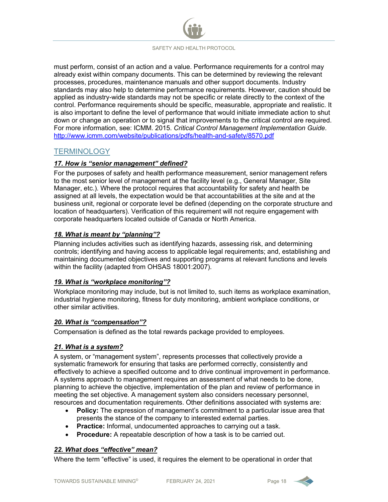must perform, consist of an action and a value. Performance requirements for a control may already exist within company documents. This can be determined by reviewing the relevant processes, procedures, maintenance manuals and other support documents. Industry standards may also help to determine performance requirements. However, caution should be applied as industry-wide standards may not be specific or relate directly to the context of the control. Performance requirements should be specific, measurable, appropriate and realistic. It is also important to define the level of performance that would initiate immediate action to shut down or change an operation or to signal that improvements to the critical control are required. For more information, see: ICMM. 2015. *Critical Control Management Implementation Guide*. <http://www.icmm.com/website/publications/pdfs/health-and-safety/8570.pdf>

#### **TERMINOLOGY**

#### *17. How is "senior management" defined?*

For the purposes of safety and health performance measurement, senior management refers to the most senior level of management at the facility level (e.g., General Manager, Site Manager, etc.). Where the protocol requires that accountability for safety and health be assigned at all levels, the expectation would be that accountabilities at the site and at the business unit, regional or corporate level be defined (depending on the corporate structure and location of headquarters). Verification of this requirement will not require engagement with corporate headquarters located outside of Canada or North America.

#### *18. What is meant by "planning"?*

Planning includes activities such as identifying hazards, assessing risk, and determining controls; identifying and having access to applicable legal requirements; and, establishing and maintaining documented objectives and supporting programs at relevant functions and levels within the facility (adapted from OHSAS 18001:2007).

#### *19. What is "workplace monitoring"?*

Workplace monitoring may include, but is not limited to, such items as workplace examination, industrial hygiene monitoring, fitness for duty monitoring, ambient workplace conditions, or other similar activities.

#### *20. What is "compensation"?*

Compensation is defined as the total rewards package provided to employees.

#### *21. What is a system?*

A system, or "management system", represents processes that collectively provide a systematic framework for ensuring that tasks are performed correctly, consistently and effectively to achieve a specified outcome and to drive continual improvement in performance. A systems approach to management requires an assessment of what needs to be done, planning to achieve the objective, implementation of the plan and review of performance in meeting the set objective. A management system also considers necessary personnel, resources and documentation requirements. Other definitions associated with systems are:

- **Policy:** The expression of management's commitment to a particular issue area that presents the stance of the company to interested external parties.
- **Practice:** Informal, undocumented approaches to carrying out a task.
- **Procedure:** A repeatable description of how a task is to be carried out.

#### *22. What does "effective" mean?*

Where the term "effective" is used, it requires the element to be operational in order that

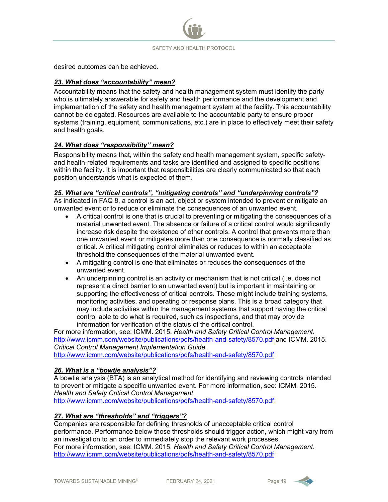desired outcomes can be achieved.

#### *23. What does "accountability" mean?*

Accountability means that the safety and health management system must identify the party who is ultimately answerable for safety and health performance and the development and implementation of the safety and health management system at the facility. This accountability cannot be delegated. Resources are available to the accountable party to ensure proper systems (training, equipment, communications, etc.) are in place to effectively meet their safety and health goals.

#### *24. What does "responsibility" mean?*

Responsibility means that, within the safety and health management system, specific safetyand health-related requirements and tasks are identified and assigned to specific positions within the facility. It is important that responsibilities are clearly communicated so that each position understands what is expected of them.

#### *25. What are "critical controls", "mitigating controls" and "underpinning controls"?*

As indicated in FAQ 8, a control is an act, object or system intended to prevent or mitigate an unwanted event or to reduce or eliminate the consequences of an unwanted event.

- A critical control is one that is crucial to preventing or mitigating the consequences of a material unwanted event. The absence or failure of a critical control would significantly increase risk despite the existence of other controls. A control that prevents more than one unwanted event or mitigates more than one consequence is normally classified as critical. A critical mitigating control eliminates or reduces to within an acceptable threshold the consequences of the material unwanted event.
- A mitigating control is one that eliminates or reduces the consequences of the unwanted event.
- An underpinning control is an activity or mechanism that is not critical (i.e. does not represent a direct barrier to an unwanted event) but is important in maintaining or supporting the effectiveness of critical controls. These might include training systems, monitoring activities, and operating or response plans. This is a broad category that may include activities within the management systems that support having the critical control able to do what is required, such as inspections, and that may provide information for verification of the status of the critical control.

For more information, see: ICMM. 2015. *Health and Safety Critical Control Management*. <http://www.icmm.com/website/publications/pdfs/health-and-safety/8570.pdf> and ICMM. 2015. *Critical Control Management Implementation Guide*. <http://www.icmm.com/website/publications/pdfs/health-and-safety/8570.pdf>

#### *26. What is a "bowtie analysis"?*

A bowtie analysis (BTA) is an analytical method for identifying and reviewing controls intended to prevent or mitigate a specific unwanted event. For more information, see: ICMM. 2015. *Health and Safety Critical Control Management*. <http://www.icmm.com/website/publications/pdfs/health-and-safety/8570.pdf>

#### *27. What are "thresholds" and "triggers"?*

Companies are responsible for defining thresholds of unacceptable critical control performance. Performance below those thresholds should trigger action, which might vary from an investigation to an order to immediately stop the relevant work processes. For more information, see: ICMM. 2015. *Health and Safety Critical Control Management*. <http://www.icmm.com/website/publications/pdfs/health-and-safety/8570.pdf>

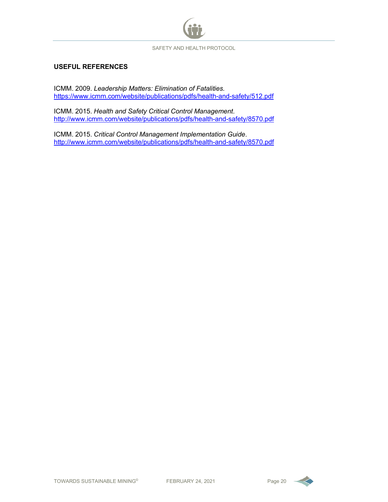

#### **USEFUL REFERENCES**

ICMM. 2009. *Leadership Matters: Elimination of Fatalities.* <https://www.icmm.com/website/publications/pdfs/health-and-safety/512.pdf>

ICMM. 2015. *Health and Safety Critical Control Management*. <http://www.icmm.com/website/publications/pdfs/health-and-safety/8570.pdf>

ICMM. 2015. *Critical Control Management Implementation Guide*. <http://www.icmm.com/website/publications/pdfs/health-and-safety/8570.pdf>

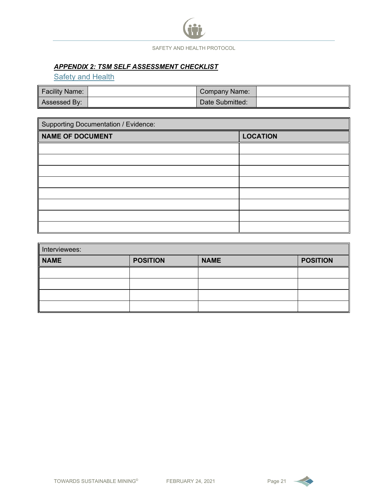#### *APPENDIX 2: TSM SELF ASSESSMENT CHECKLIST*

**Safety and Health** 

| <b>Facility Name:</b> | Company Name:   |  |
|-----------------------|-----------------|--|
| Assessed By:          | Date Submitted: |  |

| Supporting Documentation / Evidence: |                 |  |  |
|--------------------------------------|-----------------|--|--|
| NAME OF DOCUMENT                     | <b>LOCATION</b> |  |  |
|                                      |                 |  |  |
|                                      |                 |  |  |
|                                      |                 |  |  |
|                                      |                 |  |  |
|                                      |                 |  |  |
|                                      |                 |  |  |
|                                      |                 |  |  |
|                                      |                 |  |  |

| Interviewees: |                 |             |                 |  |  |  |  |  |
|---------------|-----------------|-------------|-----------------|--|--|--|--|--|
| <b>NAME</b>   | <b>POSITION</b> | <b>NAME</b> | <b>POSITION</b> |  |  |  |  |  |
|               |                 |             |                 |  |  |  |  |  |
|               |                 |             |                 |  |  |  |  |  |
|               |                 |             |                 |  |  |  |  |  |
|               |                 |             |                 |  |  |  |  |  |

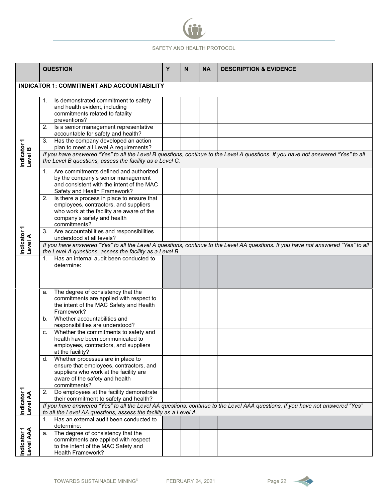

|                          | <b>QUESTION</b>                                                                                                | Y | N | <b>NA</b> | <b>DESCRIPTION &amp; EVIDENCE</b>                                                                                                  |
|--------------------------|----------------------------------------------------------------------------------------------------------------|---|---|-----------|------------------------------------------------------------------------------------------------------------------------------------|
|                          | <b>INDICATOR 1: COMMITMENT AND ACCOUNTABILITY</b>                                                              |   |   |           |                                                                                                                                    |
|                          |                                                                                                                |   |   |           |                                                                                                                                    |
|                          | Is demonstrated commitment to safety<br>1.                                                                     |   |   |           |                                                                                                                                    |
|                          | and health evident, including<br>commitments related to fatality                                               |   |   |           |                                                                                                                                    |
|                          | preventions?                                                                                                   |   |   |           |                                                                                                                                    |
|                          | Is a senior management representative<br>2.<br>accountable for safety and health?                              |   |   |           |                                                                                                                                    |
| Indicator 1<br>Level B   | Has the company developed an action<br>3.<br>plan to meet all Level A requirements?                            |   |   |           |                                                                                                                                    |
|                          |                                                                                                                |   |   |           | If you have answered "Yes" to all the Level B questions, continue to the Level A questions. If you have not answered "Yes" to all  |
|                          | the Level B questions, assess the facility as a Level C.                                                       |   |   |           |                                                                                                                                    |
|                          | Are commitments defined and authorized<br>1.                                                                   |   |   |           |                                                                                                                                    |
|                          | by the company's senior management<br>and consistent with the intent of the MAC                                |   |   |           |                                                                                                                                    |
|                          | Safety and Health Framework?                                                                                   |   |   |           |                                                                                                                                    |
|                          | Is there a process in place to ensure that<br>2.<br>employees, contractors, and suppliers                      |   |   |           |                                                                                                                                    |
|                          | who work at the facility are aware of the                                                                      |   |   |           |                                                                                                                                    |
|                          | company's safety and health                                                                                    |   |   |           |                                                                                                                                    |
|                          | commitments?<br>3.<br>Are accountabilities and responsibilities                                                |   |   |           |                                                                                                                                    |
|                          | understood at all levels?                                                                                      |   |   |           |                                                                                                                                    |
| Indicator 1<br>Level A   |                                                                                                                |   |   |           | If you have answered "Yes" to all the Level A questions, continue to the Level AA questions. If you have not answered "Yes" to all |
|                          | the Level A questions, assess the facility as a Level B.<br>Has an internal audit been conducted to<br>$1_{-}$ |   |   |           |                                                                                                                                    |
|                          | determine:                                                                                                     |   |   |           |                                                                                                                                    |
|                          |                                                                                                                |   |   |           |                                                                                                                                    |
|                          |                                                                                                                |   |   |           |                                                                                                                                    |
|                          | The degree of consistency that the<br>a.                                                                       |   |   |           |                                                                                                                                    |
|                          | commitments are applied with respect to<br>the intent of the MAC Safety and Health                             |   |   |           |                                                                                                                                    |
|                          | Framework?                                                                                                     |   |   |           |                                                                                                                                    |
|                          | Whether accountabilities and<br>b.                                                                             |   |   |           |                                                                                                                                    |
|                          | responsibilities are understood?<br>Whether the commitments to safety and<br>c.                                |   |   |           |                                                                                                                                    |
|                          | health have been communicated to                                                                               |   |   |           |                                                                                                                                    |
|                          | employees, contractors, and suppliers                                                                          |   |   |           |                                                                                                                                    |
|                          | at the facility?<br>Whether processes are in place to<br>d.                                                    |   |   |           |                                                                                                                                    |
|                          | ensure that employees, contractors, and                                                                        |   |   |           |                                                                                                                                    |
|                          | suppliers who work at the facility are                                                                         |   |   |           |                                                                                                                                    |
|                          | aware of the safety and health<br>commitments?                                                                 |   |   |           |                                                                                                                                    |
|                          | Do employees at the facility demonstrate<br>2.                                                                 |   |   |           |                                                                                                                                    |
|                          | their commitment to safety and health?                                                                         |   |   |           |                                                                                                                                    |
| Indicator 1<br>Level AA  | to all the Level AA questions, assess the facility as a Level A.                                               |   |   |           | If you have answered "Yes" to all the Level AA questions, continue to the Level AAA questions. If you have not answered "Yes"      |
|                          | Has an external audit been conducted to<br>$1_{-}$                                                             |   |   |           |                                                                                                                                    |
|                          | determine:<br>The degree of consistency that the<br>a.                                                         |   |   |           |                                                                                                                                    |
|                          | commitments are applied with respect                                                                           |   |   |           |                                                                                                                                    |
| Indicator 1<br>Level AAA | to the intent of the MAC Safety and                                                                            |   |   |           |                                                                                                                                    |
|                          | <b>Health Framework?</b>                                                                                       |   |   |           |                                                                                                                                    |

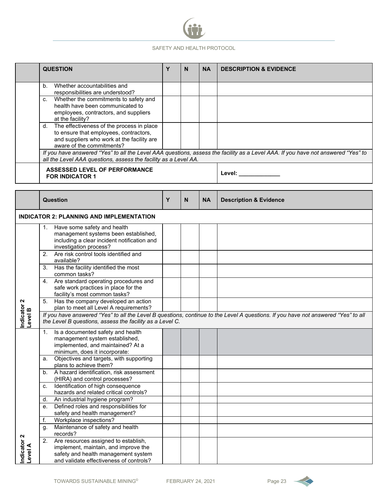

|                        | <b>QUESTION</b>                                                                                                                                                      | Y | N  | <b>NA</b> | <b>DESCRIPTION &amp; EVIDENCE</b>                                                                                                 |
|------------------------|----------------------------------------------------------------------------------------------------------------------------------------------------------------------|---|----|-----------|-----------------------------------------------------------------------------------------------------------------------------------|
|                        | Whether accountabilities and<br>b.<br>responsibilities are understood?                                                                                               |   |    |           |                                                                                                                                   |
|                        | Whether the commitments to safety and<br>C.<br>health have been communicated to<br>employees, contractors, and suppliers<br>at the facility?                         |   |    |           |                                                                                                                                   |
|                        | d. The effectiveness of the process in place<br>to ensure that employees, contractors,<br>and suppliers who work at the facility are<br>aware of the commitments?    |   |    |           |                                                                                                                                   |
|                        | all the Level AAA questions, assess the facility as a Level AA.                                                                                                      |   |    |           | If you have answered "Yes" to all the Level AAA questions, assess the facility as a Level AAA. If you have not answered "Yes" to  |
|                        | <b>ASSESSED LEVEL OF PERFORMANCE</b><br><b>FOR INDICATOR 1</b>                                                                                                       |   |    |           | Level: ___________                                                                                                                |
|                        |                                                                                                                                                                      |   |    |           |                                                                                                                                   |
|                        | Question                                                                                                                                                             | Y | N. | <b>NA</b> | <b>Description &amp; Evidence</b>                                                                                                 |
|                        | <b>INDICATOR 2: PLANNING AND IMPLEMENTATION</b>                                                                                                                      |   |    |           |                                                                                                                                   |
|                        | 1. Have some safety and health<br>management systems been established,<br>including a clear incident notification and<br>investigation process?                      |   |    |           |                                                                                                                                   |
|                        | 2. Are risk control tools identified and<br>available?                                                                                                               |   |    |           |                                                                                                                                   |
|                        | Has the facility identified the most<br>3.<br>common tasks?                                                                                                          |   |    |           |                                                                                                                                   |
|                        | 4. Are standard operating procedures and<br>safe work practices in place for the<br>facility's most common tasks?                                                    |   |    |           |                                                                                                                                   |
|                        | Has the company developed an action<br>5.<br>plan to meet all Level A requirements?                                                                                  |   |    |           |                                                                                                                                   |
| Indicator 2<br>Level B | the Level B questions, assess the facility as a Level C.                                                                                                             |   |    |           | If you have answered "Yes" to all the Level B questions, continue to the Level A questions. If you have not answered "Yes" to all |
|                        | Is a documented safety and health<br>1.<br>management system established,<br>implemented, and maintained? At a<br>minimum, does it incorporate:                      |   |    |           |                                                                                                                                   |
|                        | Objectives and targets, with supporting<br>a.<br>plans to achieve them?                                                                                              |   |    |           |                                                                                                                                   |
|                        | A hazard identification, risk assessment<br>b <sub>1</sub><br>(HIRA) and control processes?                                                                          |   |    |           |                                                                                                                                   |
|                        | Identification of high consequence<br>c.<br>hazards and related critical controls?                                                                                   |   |    |           |                                                                                                                                   |
|                        | An industrial hygiene program?<br>d.                                                                                                                                 |   |    |           |                                                                                                                                   |
|                        | Defined roles and responsibilities for<br>е.                                                                                                                         |   |    |           |                                                                                                                                   |
|                        | safety and health management?                                                                                                                                        |   |    |           |                                                                                                                                   |
|                        | Workplace inspections?<br>f.<br>Maintenance of safety and health<br>g.                                                                                               |   |    |           |                                                                                                                                   |
|                        | records?                                                                                                                                                             |   |    |           |                                                                                                                                   |
| Indicator 2<br>Level A | Are resources assigned to establish,<br>2.<br>implement, maintain, and improve the<br>safety and health management system<br>and validate effectiveness of controls? |   |    |           |                                                                                                                                   |

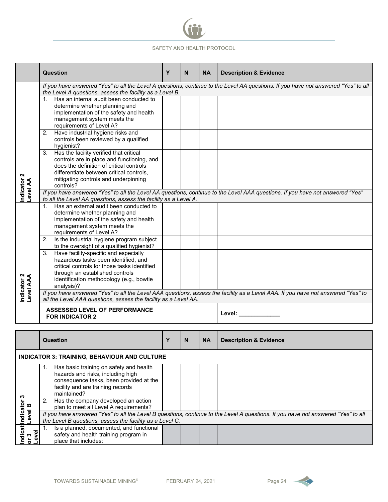

|                             | <b>Question</b>                                                                                                                                                                                                                                | Y | N | <b>NA</b> | <b>Description &amp; Evidence</b>                                                                                                  |
|-----------------------------|------------------------------------------------------------------------------------------------------------------------------------------------------------------------------------------------------------------------------------------------|---|---|-----------|------------------------------------------------------------------------------------------------------------------------------------|
|                             |                                                                                                                                                                                                                                                |   |   |           | If you have answered "Yes" to all the Level A questions, continue to the Level AA questions. If you have not answered "Yes" to all |
|                             | the Level A questions, assess the facility as a Level B.<br>1. Has an internal audit been conducted to<br>determine whether planning and<br>implementation of the safety and health<br>management system meets the<br>requirements of Level A? |   |   |           |                                                                                                                                    |
|                             | Have industrial hygiene risks and<br>2.<br>controls been reviewed by a qualified<br>hygienist?                                                                                                                                                 |   |   |           |                                                                                                                                    |
| Indicator 2<br>Level AA     | Has the facility verified that critical<br>3.<br>controls are in place and functioning, and<br>does the definition of critical controls<br>differentiate between critical controls,<br>mitigating controls and underpinning<br>controls?       |   |   |           |                                                                                                                                    |
|                             | to all the Level AA questions, assess the facility as a Level A.                                                                                                                                                                               |   |   |           | If you have answered "Yes" to all the Level AA questions, continue to the Level AAA questions. If you have not answered "Yes"      |
|                             | Has an external audit been conducted to<br>1.<br>determine whether planning and<br>implementation of the safety and health<br>management system meets the<br>requirements of Level A?                                                          |   |   |           |                                                                                                                                    |
|                             | 2.<br>Is the industrial hygiene program subject<br>to the oversight of a qualified hygienist?                                                                                                                                                  |   |   |           |                                                                                                                                    |
| Indicator 2<br>Level AAA    | Have facility-specific and especially<br>3.<br>hazardous tasks been identified, and<br>critical controls for those tasks identified<br>through an established controls<br>identification methodology (e.g., bowtie<br>analysis)?               |   |   |           |                                                                                                                                    |
|                             | all the Level AAA questions, assess the facility as a Level AA.                                                                                                                                                                                |   |   |           | If you have answered "Yes" to all the Level AAA questions, assess the facility as a Level AAA. If you have not answered "Yes" to   |
|                             | <b>ASSESSED LEVEL OF PERFORMANCE</b><br><b>FOR INDICATOR 2</b>                                                                                                                                                                                 |   |   |           | Level: <b>All According to the US</b>                                                                                              |
|                             |                                                                                                                                                                                                                                                |   |   |           |                                                                                                                                    |
|                             | <b>Question</b>                                                                                                                                                                                                                                | Y | N | <b>NA</b> | <b>Description &amp; Evidence</b>                                                                                                  |
|                             | <b>INDICATOR 3: TRAINING, BEHAVIOUR AND CULTURE</b>                                                                                                                                                                                            |   |   |           |                                                                                                                                    |
|                             | Has basic training on safety and health<br>1.<br>hazards and risks, including high<br>consequence tasks, been provided at the<br>facility and are training records<br>maintained?                                                              |   |   |           |                                                                                                                                    |
|                             | Has the company developed an action<br>2.<br>plan to meet all Level A requirements?                                                                                                                                                            |   |   |           |                                                                                                                                    |
| Level B                     | the Level B questions, assess the facility as a Level C.                                                                                                                                                                                       |   |   |           | If you have answered "Yes" to all the Level B questions, continue to the Level A questions. If you have not answered "Yes" to all  |
| ndicat Indicator 3<br>Level | Is a planned, documented, and functional<br>1.<br>safety and health training program in<br>place that includes:                                                                                                                                |   |   |           |                                                                                                                                    |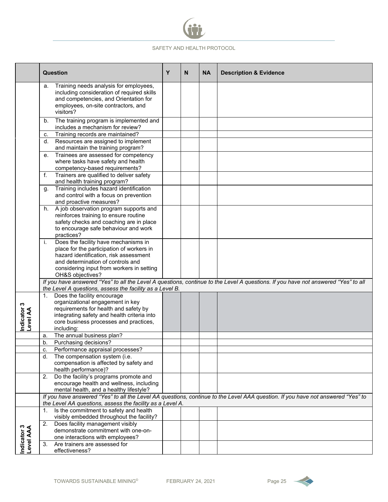

|                          | <b>Question</b>                                                                                                                                                                         | Y | N | <b>NA</b> | <b>Description &amp; Evidence</b>                                                                                                 |
|--------------------------|-----------------------------------------------------------------------------------------------------------------------------------------------------------------------------------------|---|---|-----------|-----------------------------------------------------------------------------------------------------------------------------------|
|                          | Training needs analysis for employees,<br>a.<br>including consideration of required skills<br>and competencies, and Orientation for<br>employees, on-site contractors, and<br>visitors? |   |   |           |                                                                                                                                   |
|                          | The training program is implemented and<br>b.<br>includes a mechanism for review?                                                                                                       |   |   |           |                                                                                                                                   |
|                          | Training records are maintained?<br>C.                                                                                                                                                  |   |   |           |                                                                                                                                   |
|                          | Resources are assigned to implement<br>d.                                                                                                                                               |   |   |           |                                                                                                                                   |
|                          | and maintain the training program?                                                                                                                                                      |   |   |           |                                                                                                                                   |
|                          | Trainees are assessed for competency<br>е.<br>where tasks have safety and health<br>competency-based requirements?                                                                      |   |   |           |                                                                                                                                   |
|                          | Trainers are qualified to deliver safety<br>f.<br>and health training program?                                                                                                          |   |   |           |                                                                                                                                   |
|                          | Training includes hazard identification<br>g.                                                                                                                                           |   |   |           |                                                                                                                                   |
|                          | and control with a focus on prevention                                                                                                                                                  |   |   |           |                                                                                                                                   |
|                          | and proactive measures?                                                                                                                                                                 |   |   |           |                                                                                                                                   |
|                          | A job observation program supports and<br>h.                                                                                                                                            |   |   |           |                                                                                                                                   |
|                          | reinforces training to ensure routine<br>safety checks and coaching are in place                                                                                                        |   |   |           |                                                                                                                                   |
|                          | to encourage safe behaviour and work                                                                                                                                                    |   |   |           |                                                                                                                                   |
|                          | practices?                                                                                                                                                                              |   |   |           |                                                                                                                                   |
|                          | i.<br>Does the facility have mechanisms in                                                                                                                                              |   |   |           |                                                                                                                                   |
|                          | place for the participation of workers in                                                                                                                                               |   |   |           |                                                                                                                                   |
|                          | hazard identification, risk assessment                                                                                                                                                  |   |   |           |                                                                                                                                   |
|                          | and determination of controls and                                                                                                                                                       |   |   |           |                                                                                                                                   |
|                          | considering input from workers in setting<br>OH&S objectives?                                                                                                                           |   |   |           |                                                                                                                                   |
|                          | the Level A questions, assess the facility as a Level B.                                                                                                                                |   |   |           | If you have answered "Yes" to all the Level A questions, continue to the Level A questions. If you have not answered "Yes" to all |
|                          | Does the facility encourage<br>1.                                                                                                                                                       |   |   |           |                                                                                                                                   |
|                          | organizational engagement in key                                                                                                                                                        |   |   |           |                                                                                                                                   |
|                          | requirements for health and safety by                                                                                                                                                   |   |   |           |                                                                                                                                   |
|                          | integrating safety and health criteria into<br>core business processes and practices,                                                                                                   |   |   |           |                                                                                                                                   |
| Indicator 3<br>Level AA  | including:                                                                                                                                                                              |   |   |           |                                                                                                                                   |
|                          | The annual business plan?<br>a.                                                                                                                                                         |   |   |           |                                                                                                                                   |
|                          | Purchasing decisions?<br>b.                                                                                                                                                             |   |   |           |                                                                                                                                   |
|                          | Performance appraisal processes?<br>c.                                                                                                                                                  |   |   |           |                                                                                                                                   |
|                          | The compensation system (i.e.<br>d.                                                                                                                                                     |   |   |           |                                                                                                                                   |
|                          | compensation is affected by safety and                                                                                                                                                  |   |   |           |                                                                                                                                   |
|                          | health performance)?<br>Do the facility's programs promote and                                                                                                                          |   |   |           |                                                                                                                                   |
|                          | 2.<br>encourage health and wellness, including                                                                                                                                          |   |   |           |                                                                                                                                   |
|                          | mental health, and a healthy lifestyle?                                                                                                                                                 |   |   |           |                                                                                                                                   |
|                          |                                                                                                                                                                                         |   |   |           | If you have answered "Yes" to all the Level AA questions, continue to the Level AAA question. If you have not answered "Yes" to   |
|                          | the Level AA questions, assess the facility as a Level A.                                                                                                                               |   |   |           |                                                                                                                                   |
|                          | Is the commitment to safety and health<br>1.<br>visibly embedded throughout the facility?                                                                                               |   |   |           |                                                                                                                                   |
|                          | 2.<br>Does facility management visibly                                                                                                                                                  |   |   |           |                                                                                                                                   |
|                          | demonstrate commitment with one-on-                                                                                                                                                     |   |   |           |                                                                                                                                   |
| Indicator 3<br>Level AAA | one interactions with employees?                                                                                                                                                        |   |   |           |                                                                                                                                   |
|                          | 3.<br>Are trainers are assessed for                                                                                                                                                     |   |   |           |                                                                                                                                   |
|                          | effectiveness?                                                                                                                                                                          |   |   |           |                                                                                                                                   |

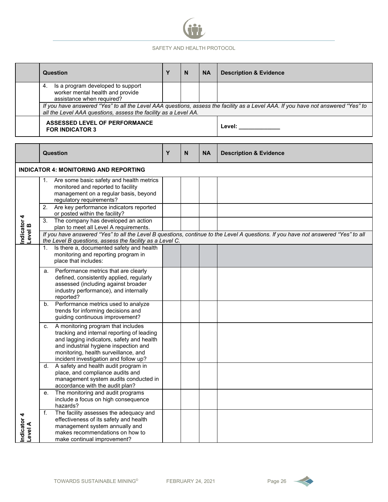

|                        | <b>Question</b>                                                                                                                                                                                                                                               | Y | N | <b>NA</b> | <b>Description &amp; Evidence</b>                                                                                                |  |  |
|------------------------|---------------------------------------------------------------------------------------------------------------------------------------------------------------------------------------------------------------------------------------------------------------|---|---|-----------|----------------------------------------------------------------------------------------------------------------------------------|--|--|
|                        | Is a program developed to support<br>4.<br>worker mental health and provide<br>assistance when required?                                                                                                                                                      |   |   |           |                                                                                                                                  |  |  |
|                        | all the Level AAA questions, assess the facility as a Level AA.                                                                                                                                                                                               |   |   |           | If you have answered "Yes" to all the Level AAA questions, assess the facility as a Level AAA. If you have not answered "Yes" to |  |  |
|                        | <b>ASSESSED LEVEL OF PERFORMANCE</b><br><b>FOR INDICATOR 3</b>                                                                                                                                                                                                |   |   |           | Level: __________                                                                                                                |  |  |
|                        | <b>Question</b>                                                                                                                                                                                                                                               | Y | N | <b>NA</b> | <b>Description &amp; Evidence</b>                                                                                                |  |  |
|                        | <b>INDICATOR 4: MONITORING AND REPORTING</b>                                                                                                                                                                                                                  |   |   |           |                                                                                                                                  |  |  |
|                        | Are some basic safety and health metrics<br>1.<br>monitored and reported to facility<br>management on a regular basis, beyond<br>regulatory requirements?                                                                                                     |   |   |           |                                                                                                                                  |  |  |
|                        | 2. Are key performance indicators reported<br>or posted within the facility?                                                                                                                                                                                  |   |   |           |                                                                                                                                  |  |  |
| Indicator 4<br>Level B | The company has developed an action<br>3.<br>plan to meet all Level A requirements.                                                                                                                                                                           |   |   |           |                                                                                                                                  |  |  |
|                        | If you have answered "Yes" to all the Level B questions, continue to the Level A questions. If you have not answered "Yes" to all<br>the Level B questions, assess the facility as a Level C.                                                                 |   |   |           |                                                                                                                                  |  |  |
|                        | Is there a, documented safety and health<br>1.<br>monitoring and reporting program in<br>place that includes:                                                                                                                                                 |   |   |           |                                                                                                                                  |  |  |
|                        | a. Performance metrics that are clearly<br>defined, consistently applied, regularly<br>assessed (including against broader<br>industry performance), and internally<br>reported?                                                                              |   |   |           |                                                                                                                                  |  |  |
|                        | b. Performance metrics used to analyze<br>trends for informing decisions and<br>guiding continuous improvement?                                                                                                                                               |   |   |           |                                                                                                                                  |  |  |
|                        | A monitoring program that includes<br>C.<br>tracking and internal reporting of leading<br>and lagging indicators, safety and health<br>and industrial hygiene inspection and<br>monitoring, health surveillance, and<br>incident investigation and follow up? |   |   |           |                                                                                                                                  |  |  |
|                        | d. A safety and health audit program in<br>place, and compliance audits and<br>management system audits conducted in<br>accordance with the audit plan?                                                                                                       |   |   |           |                                                                                                                                  |  |  |
|                        | The monitoring and audit programs<br>е.<br>include a focus on high consequence<br>hazards?                                                                                                                                                                    |   |   |           |                                                                                                                                  |  |  |
| Indicator 4<br>Level A | f.<br>The facility assesses the adequacy and<br>effectiveness of its safety and health<br>management system annually and<br>makes recommendations on how to<br>make continual improvement?                                                                    |   |   |           |                                                                                                                                  |  |  |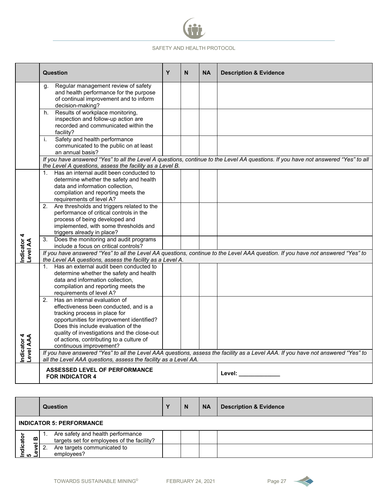

|                          | <b>Question</b>                                                                                                                                                                                                                                                                                                          | Y | N | <b>NA</b> | <b>Description &amp; Evidence</b>                                                                                                  |
|--------------------------|--------------------------------------------------------------------------------------------------------------------------------------------------------------------------------------------------------------------------------------------------------------------------------------------------------------------------|---|---|-----------|------------------------------------------------------------------------------------------------------------------------------------|
|                          | Regular management review of safety<br>q.<br>and health performance for the purpose<br>of continual improvement and to inform<br>decision-making?                                                                                                                                                                        |   |   |           |                                                                                                                                    |
|                          | Results of workplace monitoring,<br>h.<br>inspection and follow-up action are<br>recorded and communicated within the<br>facility?                                                                                                                                                                                       |   |   |           |                                                                                                                                    |
|                          | Safety and health performance<br>i.<br>communicated to the public on at least<br>an annual basis?                                                                                                                                                                                                                        |   |   |           |                                                                                                                                    |
|                          | the Level A questions, assess the facility as a Level B.                                                                                                                                                                                                                                                                 |   |   |           | If you have answered "Yes" to all the Level A questions, continue to the Level AA questions. If you have not answered "Yes" to all |
|                          | Has an internal audit been conducted to<br>$1_{\cdot}$<br>determine whether the safety and health<br>data and information collection,<br>compilation and reporting meets the<br>requirements of level A?                                                                                                                 |   |   |           |                                                                                                                                    |
|                          | Are thresholds and triggers related to the<br>$\overline{2}$ .<br>performance of critical controls in the<br>process of being developed and<br>implemented, with some thresholds and<br>triggers already in place?                                                                                                       |   |   |           |                                                                                                                                    |
|                          | Does the monitoring and audit programs<br>3.<br>include a focus on critical controls?                                                                                                                                                                                                                                    |   |   |           |                                                                                                                                    |
| Indicator 4<br>Level AA  | the Level AA questions, assess the facility as a Level A.                                                                                                                                                                                                                                                                |   |   |           | If you have answered "Yes" to all the Level AA questions, continue to the Level AAA question. If you have not answered "Yes" to    |
|                          | Has an external audit been conducted to<br>$1_{\cdot}$<br>determine whether the safety and health<br>data and information collection,<br>compilation and reporting meets the<br>requirements of level A?                                                                                                                 |   |   |           |                                                                                                                                    |
| Indicator 4<br>Level AAA | Has an internal evaluation of<br>2.<br>effectiveness been conducted, and is a<br>tracking process in place for<br>opportunities for improvement identified?<br>Does this include evaluation of the<br>quality of investigations and the close-out<br>of actions, contributing to a culture of<br>continuous improvement? |   |   |           |                                                                                                                                    |
|                          | all the Level AAA questions, assess the facility as a Level AA.                                                                                                                                                                                                                                                          |   |   |           | If you have answered "Yes" to all the Level AAA questions, assess the facility as a Level AAA. If you have not answered "Yes" to   |
|                          | <b>ASSESSED LEVEL OF PERFORMANCE</b><br><b>FOR INDICATOR 4</b>                                                                                                                                                                                                                                                           |   |   |           | Level: <b>All According to the US</b>                                                                                              |

|           |      | <b>Question</b>                                                                 | N | <b>NA</b> | <b>Description &amp; Evidence</b> |
|-----------|------|---------------------------------------------------------------------------------|---|-----------|-----------------------------------|
|           |      | <b>INDICATOR 5: PERFORMANCE</b>                                                 |   |           |                                   |
| cator     | ≃    | Are safety and health performance<br>targets set for employees of the facility? |   |           |                                   |
| ᇹ<br>م ⊇ً | evel | Are targets communicated to<br>employees?                                       |   |           |                                   |

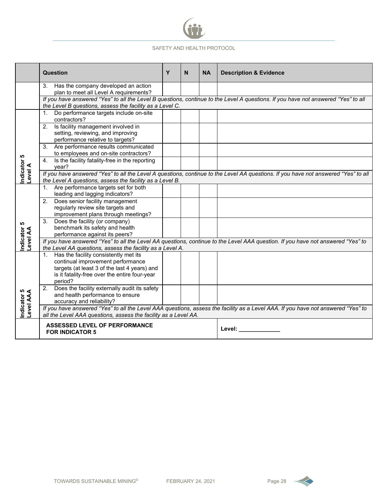

|                          | Question                                                                                                                                                                                  | Y | N | <b>NA</b> | <b>Description &amp; Evidence</b>                                                                                                  |
|--------------------------|-------------------------------------------------------------------------------------------------------------------------------------------------------------------------------------------|---|---|-----------|------------------------------------------------------------------------------------------------------------------------------------|
|                          | Has the company developed an action<br>3 <sub>1</sub><br>plan to meet all Level A requirements?                                                                                           |   |   |           |                                                                                                                                    |
|                          | the Level B questions, assess the facility as a Level C.                                                                                                                                  |   |   |           | If you have answered "Yes" to all the Level B questions, continue to the Level A questions. If you have not answered "Yes" to all  |
|                          | 1. Do performance targets include on-site<br>contractors?                                                                                                                                 |   |   |           |                                                                                                                                    |
|                          | Is facility management involved in<br>2.<br>setting, reviewing, and improving<br>performance relative to targets?                                                                         |   |   |           |                                                                                                                                    |
|                          | 3. Are performance results communicated<br>to employees and on-site contractors?                                                                                                          |   |   |           |                                                                                                                                    |
|                          | Is the facility fatality-free in the reporting<br>4.<br>vear?                                                                                                                             |   |   |           |                                                                                                                                    |
| Indicator 5<br>Level A   | the Level A questions, assess the facility as a Level B.                                                                                                                                  |   |   |           | If you have answered "Yes" to all the Level A questions, continue to the Level AA questions. If you have not answered "Yes" to all |
|                          | 1. Are performance targets set for both<br>leading and lagging indicators?                                                                                                                |   |   |           |                                                                                                                                    |
|                          | Does senior facility management<br>2.<br>regularly review site targets and<br>improvement plans through meetings?                                                                         |   |   |           |                                                                                                                                    |
| Indicator 5<br>Level AA  | Does the facility (or company)<br>3.<br>benchmark its safety and health<br>performance against its peers?                                                                                 |   |   |           |                                                                                                                                    |
|                          | the Level AA questions, assess the facility as a Level A.                                                                                                                                 |   |   |           | If you have answered "Yes" to all the Level AA questions, continue to the Level AAA question. If you have not answered "Yes" to    |
|                          | 1. Has the facility consistently met its<br>continual improvement performance<br>targets (at least 3 of the last 4 years) and<br>is it fatality-free over the entire four-year<br>period? |   |   |           |                                                                                                                                    |
| Indicator 5<br>Level AAA | 2. Does the facility externally audit its safety<br>and health performance to ensure<br>accuracy and reliability?                                                                         |   |   |           | If you have answered "Yes" to all the Level AAA questions, assess the facility as a Level AAA. If you have not answered "Yes" to   |
|                          | all the Level AAA questions, assess the facility as a Level AA.                                                                                                                           |   |   |           |                                                                                                                                    |
|                          | <b>ASSESSED LEVEL OF PERFORMANCE</b><br><b>FOR INDICATOR 5</b>                                                                                                                            |   |   |           | Level: <b>All According to the Street</b>                                                                                          |